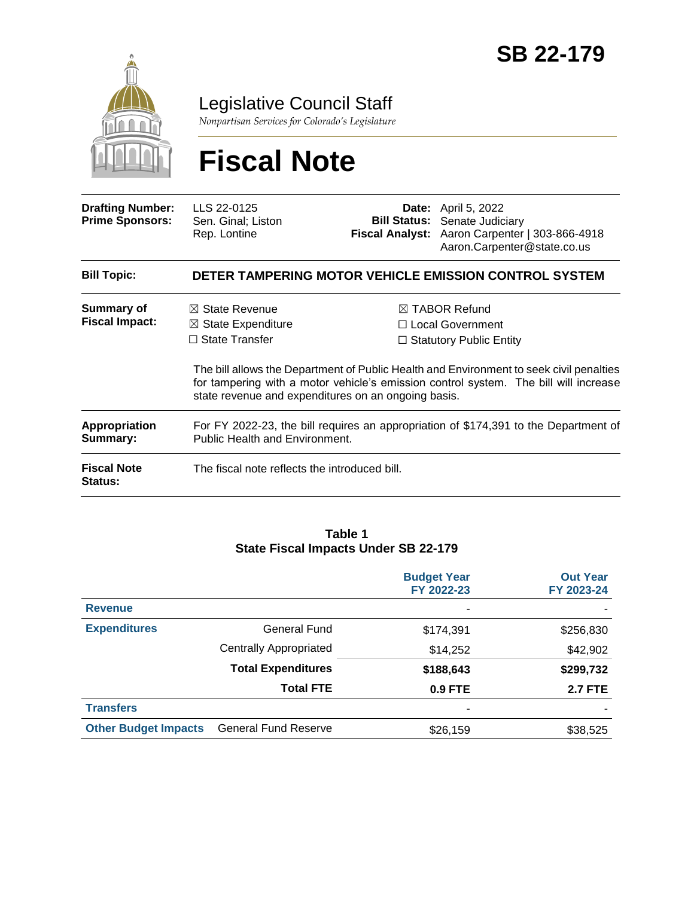

### Legislative Council Staff

*Nonpartisan Services for Colorado's Legislature*

# **Fiscal Note**

| <b>Drafting Number:</b><br><b>Prime Sponsors:</b> | LLS 22-0125<br>Sen. Ginal; Liston<br>Rep. Lontine                                                                                          |  | <b>Date:</b> April 5, 2022<br><b>Bill Status:</b> Senate Judiciary<br>Fiscal Analyst: Aaron Carpenter   303-866-4918<br>Aaron.Carpenter@state.co.us                                                                                                                 |  |
|---------------------------------------------------|--------------------------------------------------------------------------------------------------------------------------------------------|--|---------------------------------------------------------------------------------------------------------------------------------------------------------------------------------------------------------------------------------------------------------------------|--|
| <b>Bill Topic:</b>                                |                                                                                                                                            |  | DETER TAMPERING MOTOR VEHICLE EMISSION CONTROL SYSTEM                                                                                                                                                                                                               |  |
| Summary of<br><b>Fiscal Impact:</b>               | $\boxtimes$ State Revenue<br>$\boxtimes$ State Expenditure<br>$\Box$ State Transfer<br>state revenue and expenditures on an ongoing basis. |  | $\boxtimes$ TABOR Refund<br>□ Local Government<br>$\Box$ Statutory Public Entity<br>The bill allows the Department of Public Health and Environment to seek civil penalties<br>for tampering with a motor vehicle's emission control system. The bill will increase |  |
| <b>Appropriation</b><br>Summary:                  | For FY 2022-23, the bill requires an appropriation of \$174,391 to the Department of<br>Public Health and Environment.                     |  |                                                                                                                                                                                                                                                                     |  |
| <b>Fiscal Note</b><br><b>Status:</b>              | The fiscal note reflects the introduced bill.                                                                                              |  |                                                                                                                                                                                                                                                                     |  |

#### **Table 1 State Fiscal Impacts Under SB 22-179**

|                             |                             | <b>Budget Year</b><br>FY 2022-23 | <b>Out Year</b><br>FY 2023-24 |
|-----------------------------|-----------------------------|----------------------------------|-------------------------------|
| <b>Revenue</b>              |                             | ۰                                |                               |
| <b>Expenditures</b>         | General Fund                | \$174,391                        | \$256,830                     |
|                             | Centrally Appropriated      | \$14,252                         | \$42,902                      |
|                             | <b>Total Expenditures</b>   | \$188,643                        | \$299,732                     |
|                             | <b>Total FTE</b>            | <b>0.9 FTE</b>                   | <b>2.7 FTE</b>                |
| <b>Transfers</b>            |                             | ۰                                |                               |
| <b>Other Budget Impacts</b> | <b>General Fund Reserve</b> | \$26,159                         | \$38,525                      |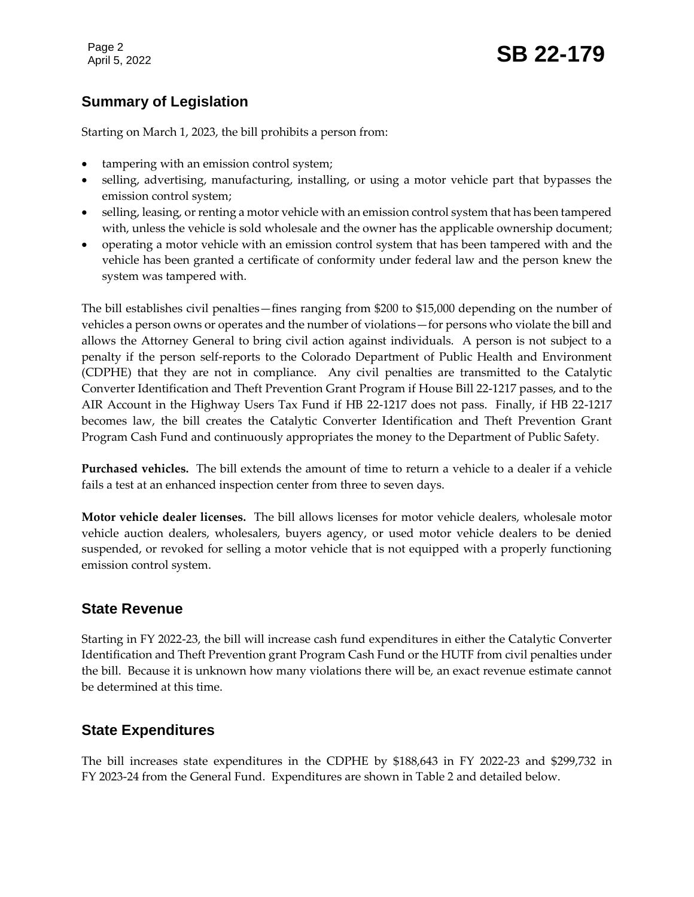Page 2

## Page 2<br>April 5, 2022 **SB 22-179**

### **Summary of Legislation**

Starting on March 1, 2023, the bill prohibits a person from:

- tampering with an emission control system;
- selling, advertising, manufacturing, installing, or using a motor vehicle part that bypasses the emission control system;
- selling, leasing, or renting a motor vehicle with an emission control system that has been tampered with, unless the vehicle is sold wholesale and the owner has the applicable ownership document;
- operating a motor vehicle with an emission control system that has been tampered with and the vehicle has been granted a certificate of conformity under federal law and the person knew the system was tampered with.

The bill establishes civil penalties—fines ranging from \$200 to \$15,000 depending on the number of vehicles a person owns or operates and the number of violations—for persons who violate the bill and allows the Attorney General to bring civil action against individuals. A person is not subject to a penalty if the person self-reports to the Colorado Department of Public Health and Environment (CDPHE) that they are not in compliance. Any civil penalties are transmitted to the Catalytic Converter Identification and Theft Prevention Grant Program if House Bill 22-1217 passes, and to the AIR Account in the Highway Users Tax Fund if HB 22-1217 does not pass. Finally, if HB 22-1217 becomes law, the bill creates the Catalytic Converter Identification and Theft Prevention Grant Program Cash Fund and continuously appropriates the money to the Department of Public Safety.

**Purchased vehicles.** The bill extends the amount of time to return a vehicle to a dealer if a vehicle fails a test at an enhanced inspection center from three to seven days.

**Motor vehicle dealer licenses.** The bill allows licenses for motor vehicle dealers, wholesale motor vehicle auction dealers, wholesalers, buyers agency, or used motor vehicle dealers to be denied suspended, or revoked for selling a motor vehicle that is not equipped with a properly functioning emission control system.

#### **State Revenue**

Starting in FY 2022-23, the bill will increase cash fund expenditures in either the Catalytic Converter Identification and Theft Prevention grant Program Cash Fund or the HUTF from civil penalties under the bill. Because it is unknown how many violations there will be, an exact revenue estimate cannot be determined at this time.

### **State Expenditures**

The bill increases state expenditures in the CDPHE by \$188,643 in FY 2022-23 and \$299,732 in FY 2023-24 from the General Fund. Expenditures are shown in Table 2 and detailed below.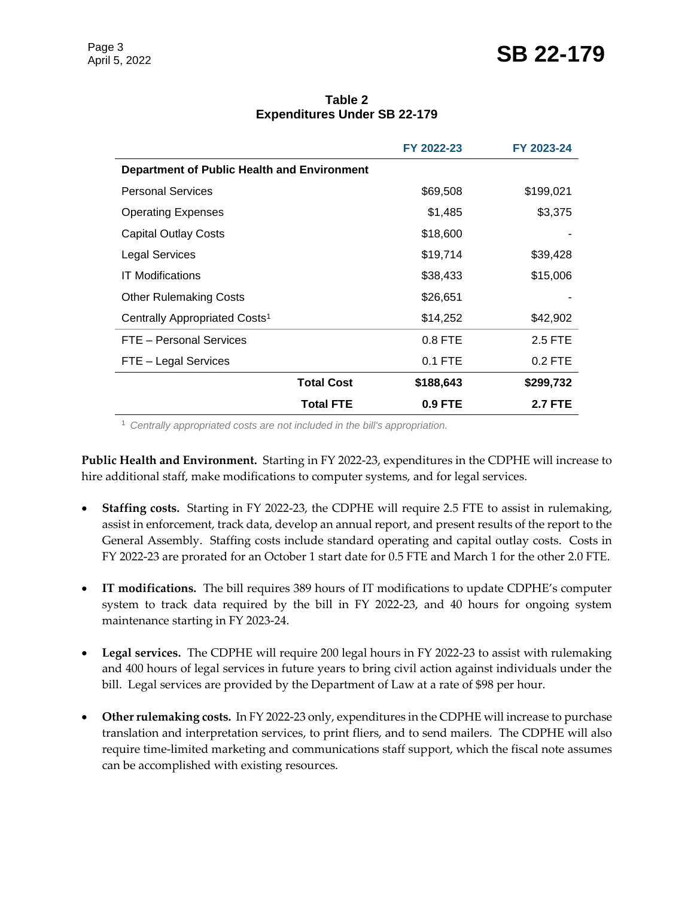### Page 3<br>April 5, 2022 **SB 22-179**

**Table 2 Expenditures Under SB 22-179**

|                                                    |                   | FY 2022-23 | FY 2023-24     |
|----------------------------------------------------|-------------------|------------|----------------|
| <b>Department of Public Health and Environment</b> |                   |            |                |
| <b>Personal Services</b>                           |                   | \$69,508   | \$199,021      |
| <b>Operating Expenses</b>                          |                   | \$1,485    | \$3,375        |
| <b>Capital Outlay Costs</b>                        |                   | \$18,600   |                |
| Legal Services                                     |                   | \$19,714   | \$39,428       |
| <b>IT Modifications</b>                            |                   | \$38,433   | \$15,006       |
| <b>Other Rulemaking Costs</b>                      |                   | \$26,651   |                |
| Centrally Appropriated Costs <sup>1</sup>          |                   | \$14,252   | \$42,902       |
| FTE - Personal Services                            |                   | $0.8$ FTE  | 2.5 FTE        |
| FTE - Legal Services                               |                   | $0.1$ FTE  | 0.2 FTE        |
|                                                    | <b>Total Cost</b> | \$188,643  | \$299,732      |
|                                                    | <b>Total FTE</b>  | 0.9 FTE    | <b>2.7 FTE</b> |

<sup>1</sup> *Centrally appropriated costs are not included in the bill's appropriation.*

**Public Health and Environment.** Starting in FY 2022-23, expenditures in the CDPHE will increase to hire additional staff, make modifications to computer systems, and for legal services.

- **Staffing costs.**Starting in FY 2022-23, the CDPHE will require 2.5 FTE to assist in rulemaking, assist in enforcement, track data, develop an annual report, and present results of the report to the General Assembly. Staffing costs include standard operating and capital outlay costs. Costs in FY 2022-23 are prorated for an October 1 start date for 0.5 FTE and March 1 for the other 2.0 FTE.
- **IT modifications.** The bill requires 389 hours of IT modifications to update CDPHE's computer system to track data required by the bill in FY 2022-23, and 40 hours for ongoing system maintenance starting in FY 2023-24.
- **Legal services.** The CDPHE will require 200 legal hours in FY 2022-23 to assist with rulemaking and 400 hours of legal services in future years to bring civil action against individuals under the bill. Legal services are provided by the Department of Law at a rate of \$98 per hour.
- **Other rulemaking costs.** In FY 2022-23 only, expenditures in the CDPHE will increase to purchase translation and interpretation services, to print fliers, and to send mailers. The CDPHE will also require time-limited marketing and communications staff support, which the fiscal note assumes can be accomplished with existing resources.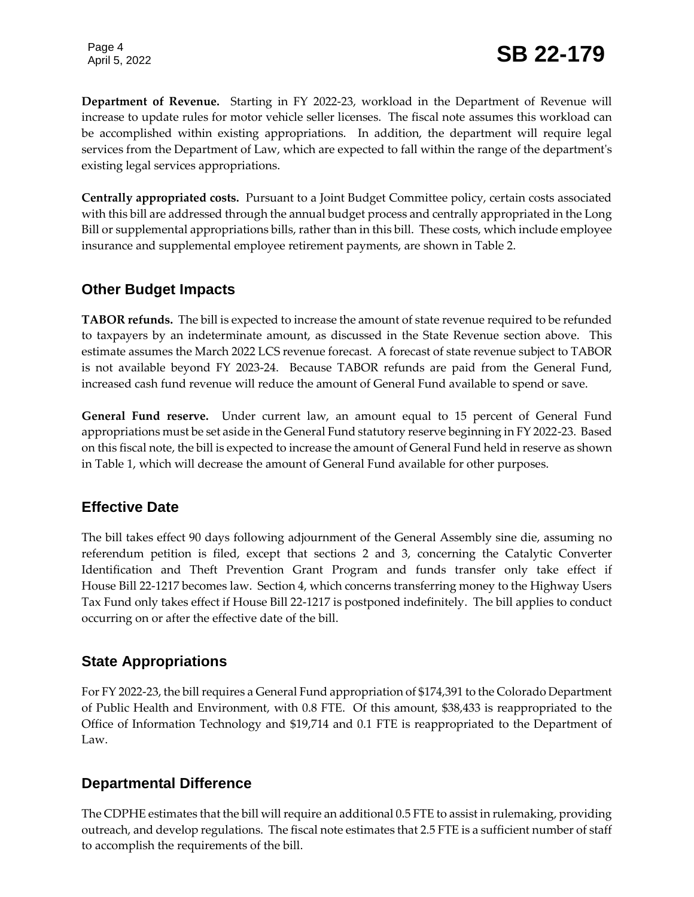**Department of Revenue.** Starting in FY 2022-23, workload in the Department of Revenue will increase to update rules for motor vehicle seller licenses. The fiscal note assumes this workload can be accomplished within existing appropriations. In addition, the department will require legal services from the Department of Law, which are expected to fall within the range of the department's existing legal services appropriations.

**Centrally appropriated costs.** Pursuant to a Joint Budget Committee policy, certain costs associated with this bill are addressed through the annual budget process and centrally appropriated in the Long Bill or supplemental appropriations bills, rather than in this bill. These costs, which include employee insurance and supplemental employee retirement payments, are shown in Table 2.

### **Other Budget Impacts**

**TABOR refunds.** The bill is expected to increase the amount of state revenue required to be refunded to taxpayers by an indeterminate amount, as discussed in the State Revenue section above. This estimate assumes the March 2022 LCS revenue forecast. A forecast of state revenue subject to TABOR is not available beyond FY 2023-24. Because TABOR refunds are paid from the General Fund, increased cash fund revenue will reduce the amount of General Fund available to spend or save.

**General Fund reserve.** Under current law, an amount equal to 15 percent of General Fund appropriations must be set aside in the General Fund statutory reserve beginning in FY 2022-23. Based on this fiscal note, the bill is expected to increase the amount of General Fund held in reserve as shown in Table 1, which will decrease the amount of General Fund available for other purposes.

### **Effective Date**

The bill takes effect 90 days following adjournment of the General Assembly sine die, assuming no referendum petition is filed, except that sections 2 and 3, concerning the Catalytic Converter Identification and Theft Prevention Grant Program and funds transfer only take effect if House Bill 22-1217 becomes law. Section 4, which concerns transferring money to the Highway Users Tax Fund only takes effect if House Bill 22-1217 is postponed indefinitely. The bill applies to conduct occurring on or after the effective date of the bill.

### **State Appropriations**

For FY 2022-23, the bill requires a General Fund appropriation of \$174,391 to the Colorado Department of Public Health and Environment, with 0.8 FTE. Of this amount, \$38,433 is reappropriated to the Office of Information Technology and \$19,714 and 0.1 FTE is reappropriated to the Department of Law.

### **Departmental Difference**

The CDPHE estimates that the bill will require an additional 0.5 FTE to assist in rulemaking, providing outreach, and develop regulations. The fiscal note estimates that 2.5 FTE is a sufficient number of staff to accomplish the requirements of the bill.